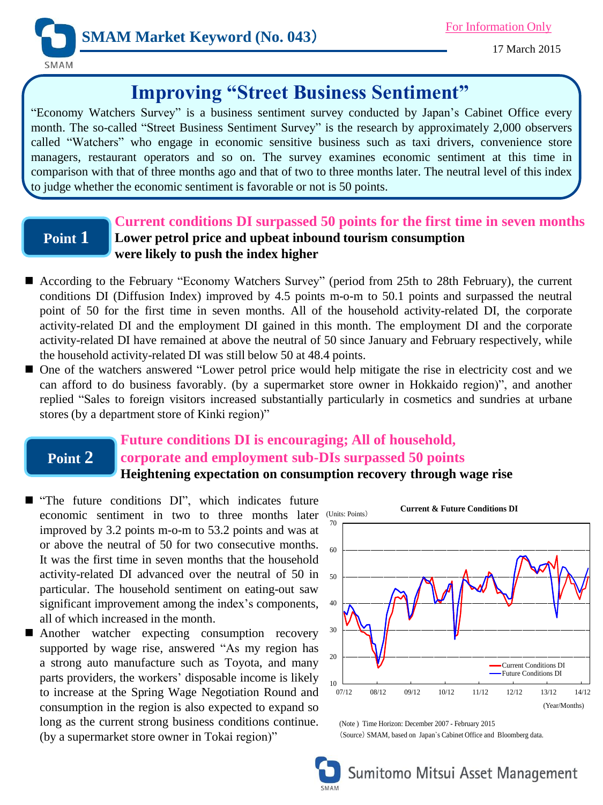

17 March 2015

# **Improving "Street Business Sentiment"**

"Economy Watchers Survey" is a business sentiment survey conducted by Japan's Cabinet Office every month. The so-called "Street Business Sentiment Survey" is the research by approximately 2,000 observers called "Watchers" who engage in economic sensitive business such as taxi drivers, convenience store managers, restaurant operators and so on. The survey examines economic sentiment at this time in comparison with that of three months ago and that of two to three months later. The neutral level of this index to judge whether the economic sentiment is favorable or not is 50 points.

### **Point 1**

### **Current conditions DI surpassed 50 points for the first time in seven months Lower petrol price and upbeat inbound tourism consumption were likely to push the index higher**

- According to the February "Economy Watchers Survey" (period from 25th to 28th February), the current conditions DI (Diffusion Index) improved by 4.5 points m-o-m to 50.1 points and surpassed the neutral point of 50 for the first time in seven months. All of the household activity-related DI, the corporate activity-related DI and the employment DI gained in this month. The employment DI and the corporate activity-related DI have remained at above the neutral of 50 since January and February respectively, while the household activity-related DI was still below 50 at 48.4 points.
- One of the watchers answered "Lower petrol price would help mitigate the rise in electricity cost and we can afford to do business favorably. (by a supermarket store owner in Hokkaido region)", and another replied "Sales to foreign visitors increased substantially particularly in cosmetics and sundries at urbane stores (by a department store of Kinki region)"

## **Point 2**

### **Future conditions DI is encouraging; All of household, corporate and employment sub-DIs surpassed 50 points Heightening expectation on consumption recovery through wage rise**

- "The future conditions DI", which indicates future economic sentiment in two to three months later improved by 3.2 points m-o-m to 53.2 points and was at or above the neutral of 50 for two consecutive months. It was the first time in seven months that the household activity-related DI advanced over the neutral of 50 in particular. The household sentiment on eating-out saw significant improvement among the index's components, all of which increased in the month.
- Another watcher expecting consumption recovery supported by wage rise, answered "As my region has a strong auto manufacture such as Toyota, and many parts providers, the workers' disposable income is likely to increase at the Spring Wage Negotiation Round and consumption in the region is also expected to expand so long as the current strong business conditions continue. Iong as the current strong business conditions continue. (Note) Time Horizon: December 2007 - February 2015<br>(by a supermarket store owner in Tokai region)" (Source) SMAM, based on Japan's Cabinet Office and



(Source) SMAM, based on Japan`s Cabinet Office and Bloomberg data.